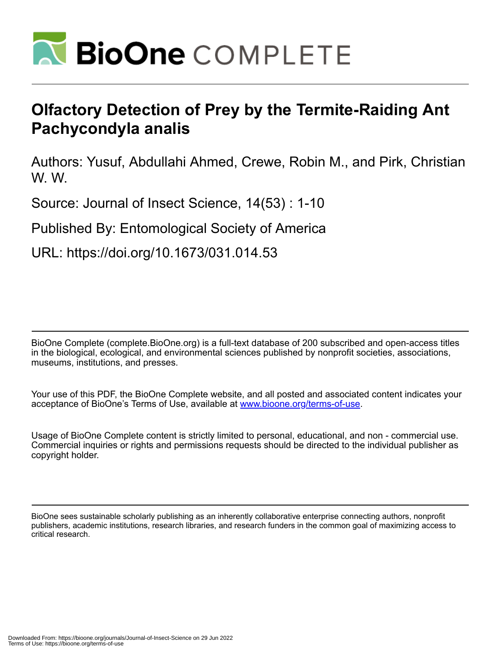

# **Olfactory Detection of Prey by the Termite-Raiding Ant Pachycondyla analis**

Authors: Yusuf, Abdullahi Ahmed, Crewe, Robin M., and Pirk, Christian W. W.

Source: Journal of Insect Science, 14(53) : 1-10

Published By: Entomological Society of America

URL: https://doi.org/10.1673/031.014.53

BioOne Complete (complete.BioOne.org) is a full-text database of 200 subscribed and open-access titles in the biological, ecological, and environmental sciences published by nonprofit societies, associations, museums, institutions, and presses.

Your use of this PDF, the BioOne Complete website, and all posted and associated content indicates your acceptance of BioOne's Terms of Use, available at www.bioone.org/terms-of-use.

Usage of BioOne Complete content is strictly limited to personal, educational, and non - commercial use. Commercial inquiries or rights and permissions requests should be directed to the individual publisher as copyright holder.

BioOne sees sustainable scholarly publishing as an inherently collaborative enterprise connecting authors, nonprofit publishers, academic institutions, research libraries, and research funders in the common goal of maximizing access to critical research.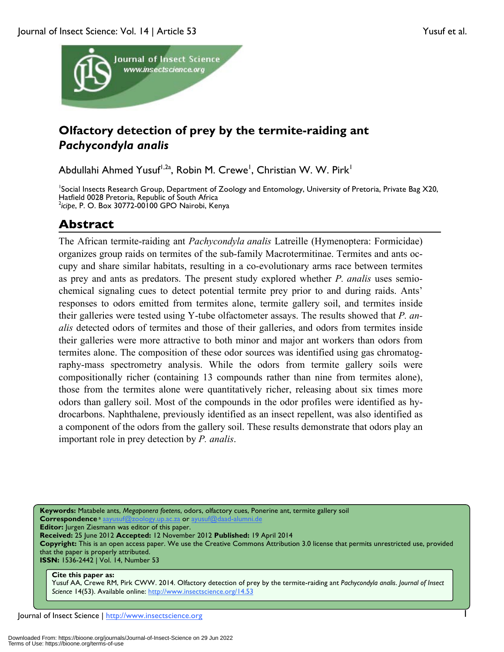

## **Olfactory detection of prey by the termite-raiding ant**  *Pachycondyla analis*

Abdullahi Ahmed Yusuf<sup>1,2a</sup>, Robin M. Crewe<sup>1</sup>, Christian W. W. Pirk<sup>1</sup>

<sup>1</sup>Social Insects Research Group, Department of Zoology and Entomology, University of Pretoria, Private Bag X20, Hatfield 0028 Pretoria, Republic of South Africa 2 *icipe*, P. O. Box 30772-00100 GPO Nairobi, Kenya

### **Abstract**

The African termite-raiding ant *Pachycondyla analis* Latreille (Hymenoptera: Formicidae) organizes group raids on termites of the sub-family Macrotermitinae. Termites and ants occupy and share similar habitats, resulting in a co-evolutionary arms race between termites as prey and ants as predators. The present study explored whether *P. analis* uses semiochemical signaling cues to detect potential termite prey prior to and during raids. Ants' responses to odors emitted from termites alone, termite gallery soil, and termites inside their galleries were tested using Y-tube olfactometer assays. The results showed that *P. analis* detected odors of termites and those of their galleries, and odors from termites inside their galleries were more attractive to both minor and major ant workers than odors from termites alone. The composition of these odor sources was identified using gas chromatography-mass spectrometry analysis. While the odors from termite gallery soils were compositionally richer (containing 13 compounds rather than nine from termites alone), those from the termites alone were quantitatively richer, releasing about six times more odors than gallery soil. Most of the compounds in the odor profiles were identified as hydrocarbons. Naphthalene, previously identified as an insect repellent, was also identified as a component of the odors from the gallery soil. These results demonstrate that odors play an important role in prey detection by *P. analis*.

**Keywords:** Matabele ants, *Megaponera foetens*, odors, olfactory cues, Ponerine ant, termite gallery soil **Correspondence** a aayusuf@zoology.up.ac.za or

**Editor:** Jurgen Ziesmann was editor of this paper.

**Received:** 25 June 2012 **Accepted:** 12 November 2012 **Published:** 19 April 2014

**Copyright:** This is an open access paper. We use the Creative Commons Attribution 3.0 license that permits unrestricted use, provided that the paper is properly attributed.

**ISSN:** 1536-2442 | Vol. 14, Number 53

#### **Cite this paper as:**

Yusuf AA, Crewe RM, Pirk CWW. 2014. Olfactory detection of prey by the termite-raiding ant *Pachycondyla analis*. *Journal of Insect Science* 14(53). Available online: http://www.insectscience.org/14.53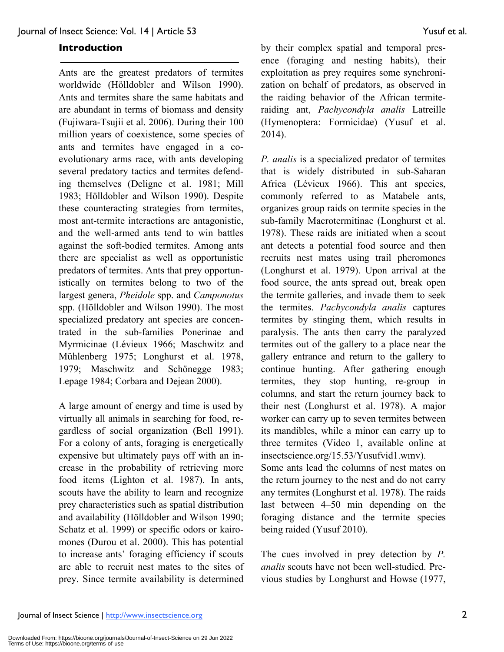#### **Introduction**

Ants are the greatest predators of termites worldwide (Hölldobler and Wilson 1990). Ants and termites share the same habitats and are abundant in terms of biomass and density (Fujiwara-Tsujii et al. 2006). During their 100 million years of coexistence, some species of ants and termites have engaged in a coevolutionary arms race, with ants developing several predatory tactics and termites defending themselves (Deligne et al. 1981; Mill 1983; Hölldobler and Wilson 1990). Despite these counteracting strategies from termites, most ant-termite interactions are antagonistic, and the well-armed ants tend to win battles against the soft-bodied termites. Among ants there are specialist as well as opportunistic predators of termites. Ants that prey opportunistically on termites belong to two of the largest genera, *Pheidole* spp. and *Camponotus* spp. (Hölldobler and Wilson 1990). The most specialized predatory ant species are concentrated in the sub-families Ponerinae and Myrmicinae (Lévieux 1966; Maschwitz and Mühlenberg 1975; Longhurst et al. 1978, 1979; Maschwitz and Schönegge 1983; Lepage 1984; Corbara and Dejean 2000).

A large amount of energy and time is used by virtually all animals in searching for food, regardless of social organization (Bell 1991). For a colony of ants, foraging is energetically expensive but ultimately pays off with an increase in the probability of retrieving more food items (Lighton et al. 1987). In ants, scouts have the ability to learn and recognize prey characteristics such as spatial distribution and availability (Hölldobler and Wilson 1990; Schatz et al. 1999) or specific odors or kairomones (Durou et al. 2000). This has potential to increase ants' foraging efficiency if scouts are able to recruit nest mates to the sites of prey. Since termite availability is determined by their complex spatial and temporal presence (foraging and nesting habits), their exploitation as prey requires some synchronization on behalf of predators, as observed in the raiding behavior of the African termiteraiding ant, *Pachycondyla analis* Latreille (Hymenoptera: Formicidae) (Yusuf et al. 2014).

*P. analis* is a specialized predator of termites that is widely distributed in sub-Saharan Africa (Lévieux 1966). This ant species, commonly referred to as Matabele ants, organizes group raids on termite species in the sub-family Macrotermitinae (Longhurst et al. 1978). These raids are initiated when a scout ant detects a potential food source and then recruits nest mates using trail pheromones (Longhurst et al. 1979). Upon arrival at the food source, the ants spread out, break open the termite galleries, and invade them to seek the termites. *Pachycondyla analis* captures termites by stinging them, which results in paralysis. The ants then carry the paralyzed termites out of the gallery to a place near the gallery entrance and return to the gallery to continue hunting. After gathering enough termites, they stop hunting, re-group in columns, and start the return journey back to their nest (Longhurst et al. 1978). A major worker can carry up to seven termites between its mandibles, while a minor can carry up to three termites (Video 1, available online at insectscience.org/15.53/Yusufvid1.wmv).

Some ants lead the columns of nest mates on the return journey to the nest and do not carry any termites (Longhurst et al. 1978). The raids last between 4–50 min depending on the foraging distance and the termite species being raided (Yusuf 2010).

The cues involved in prey detection by *P. analis* scouts have not been well-studied. Previous studies by Longhurst and Howse (1977,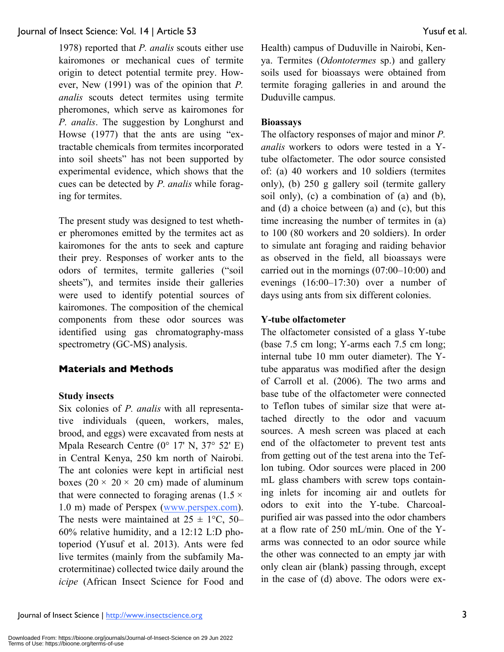1978) reported that *P. analis* scouts either use kairomones or mechanical cues of termite origin to detect potential termite prey. However, New (1991) was of the opinion that *P. analis* scouts detect termites using termite pheromones, which serve as kairomones for *P. analis*. The suggestion by Longhurst and Howse (1977) that the ants are using "extractable chemicals from termites incorporated into soil sheets" has not been supported by experimental evidence, which shows that the cues can be detected by *P. analis* while foraging for termites.

The present study was designed to test whether pheromones emitted by the termites act as kairomones for the ants to seek and capture their prey. Responses of worker ants to the odors of termites, termite galleries ("soil sheets"), and termites inside their galleries were used to identify potential sources of kairomones. The composition of the chemical components from these odor sources was identified using gas chromatography-mass spectrometry (GC-MS) analysis.

#### **Materials and Methods**

#### **Study insects**

Six colonies of *P. analis* with all representative individuals (queen, workers, males, brood, and eggs) were excavated from nests at Mpala Research Centre (0° 17' N, 37° 52' E) in Central Kenya, 250 km north of Nairobi. The ant colonies were kept in artificial nest boxes (20  $\times$  20  $\times$  20 cm) made of aluminum that were connected to foraging arenas (1.5  $\times$ 1.0 m) made of Perspex (www.perspex.com). The nests were maintained at  $25 \pm 1$ °C, 50– 60% relative humidity, and a 12:12 L:D photoperiod (Yusuf et al. 2013). Ants were fed live termites (mainly from the subfamily Macrotermitinae) collected twice daily around the *icipe* (African Insect Science for Food and Health) campus of Duduville in Nairobi, Kenya. Termites (*Odontotermes* sp.) and gallery soils used for bioassays were obtained from termite foraging galleries in and around the Duduville campus.

#### **Bioassays**

The olfactory responses of major and minor *P. analis* workers to odors were tested in a Ytube olfactometer. The odor source consisted of: (a) 40 workers and 10 soldiers (termites only), (b) 250 g gallery soil (termite gallery soil only), (c) a combination of (a) and (b), and (d) a choice between (a) and (c), but this time increasing the number of termites in (a) to 100 (80 workers and 20 soldiers). In order to simulate ant foraging and raiding behavior as observed in the field, all bioassays were carried out in the mornings (07:00–10:00) and evenings (16:00–17:30) over a number of days using ants from six different colonies.

#### **Y-tube olfactometer**

The olfactometer consisted of a glass Y-tube (base 7.5 cm long; Y-arms each 7.5 cm long; internal tube 10 mm outer diameter). The Ytube apparatus was modified after the design of Carroll et al. (2006). The two arms and base tube of the olfactometer were connected to Teflon tubes of similar size that were attached directly to the odor and vacuum sources. A mesh screen was placed at each end of the olfactometer to prevent test ants from getting out of the test arena into the Teflon tubing. Odor sources were placed in 200 mL glass chambers with screw tops containing inlets for incoming air and outlets for odors to exit into the Y-tube. Charcoalpurified air was passed into the odor chambers at a flow rate of 250 mL/min. One of the Yarms was connected to an odor source while the other was connected to an empty jar with only clean air (blank) passing through, except in the case of (d) above. The odors were ex-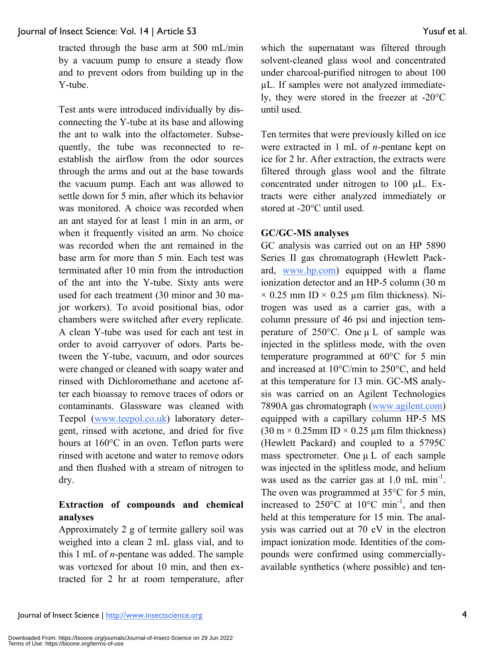tracted through the base arm at 500 mL/min by a vacuum pump to ensure a steady flow and to prevent odors from building up in the Y-tube.

Test ants were introduced individually by disconnecting the Y-tube at its base and allowing the ant to walk into the olfactometer. Subsequently, the tube was reconnected to reestablish the airflow from the odor sources through the arms and out at the base towards the vacuum pump. Each ant was allowed to settle down for 5 min, after which its behavior was monitored. A choice was recorded when an ant stayed for at least 1 min in an arm, or when it frequently visited an arm. No choice was recorded when the ant remained in the base arm for more than 5 min. Each test was terminated after 10 min from the introduction of the ant into the Y-tube. Sixty ants were used for each treatment (30 minor and 30 major workers). To avoid positional bias, odor chambers were switched after every replicate. A clean Y-tube was used for each ant test in order to avoid carryover of odors. Parts between the Y-tube, vacuum, and odor sources were changed or cleaned with soapy water and rinsed with Dichloromethane and acetone after each bioassay to remove traces of odors or contaminants. Glassware was cleaned with Teepol (www.teepol.co.uk) laboratory detergent, rinsed with acetone, and dried for five hours at 160°C in an oven. Teflon parts were rinsed with acetone and water to remove odors and then flushed with a stream of nitrogen to dry.

### **Extraction of compounds and chemical analyses**

Approximately 2 g of termite gallery soil was weighed into a clean 2 mL glass vial, and to this 1 mL of *n*-pentane was added. The sample was vortexed for about 10 min, and then extracted for 2 hr at room temperature, after

which the supernatant was filtered through solvent-cleaned glass wool and concentrated under charcoal-purified nitrogen to about 100 µL. If samples were not analyzed immediately, they were stored in the freezer at -20°C until used.

Ten termites that were previously killed on ice were extracted in 1 mL of *n-*pentane kept on ice for 2 hr. After extraction, the extracts were filtered through glass wool and the filtrate concentrated under nitrogen to 100 µL. Extracts were either analyzed immediately or stored at -20°C until used.

#### **GC/GC-MS analyses**

GC analysis was carried out on an HP 5890 Series II gas chromatograph (Hewlett Packard, www.hp.com) equipped with a flame ionization detector and an HP-5 column (30 m  $\times$  0.25 mm ID  $\times$  0.25 µm film thickness). Nitrogen was used as a carrier gas, with a column pressure of 46 psi and injection temperature of  $250^{\circ}$ C. One  $\mu$  L of sample was injected in the splitless mode, with the oven temperature programmed at 60°C for 5 min and increased at 10°C/min to 250°C, and held at this temperature for 13 min. GC-MS analysis was carried on an Agilent Technologies 7890A gas chromatograph (www.agilent.com) equipped with a capillary column HP-5 MS  $(30 \text{ m} \times 0.25 \text{ mm} \text{ ID} \times 0.25 \text{ \mu m} \text{ film thickness})$ (Hewlett Packard) and coupled to a 5795C mass spectrometer. One µ L of each sample was injected in the splitless mode, and helium was used as the carrier gas at  $1.0 \text{ mL min}^{-1}$ . The oven was programmed at 35<sup>o</sup>C for 5 min, increased to  $250^{\circ}$ C at  $10^{\circ}$ C min<sup>-1</sup>, and then held at this temperature for 15 min. The analysis was carried out at 70 eV in the electron impact ionization mode. Identities of the compounds were confirmed using commerciallyavailable synthetics (where possible) and ten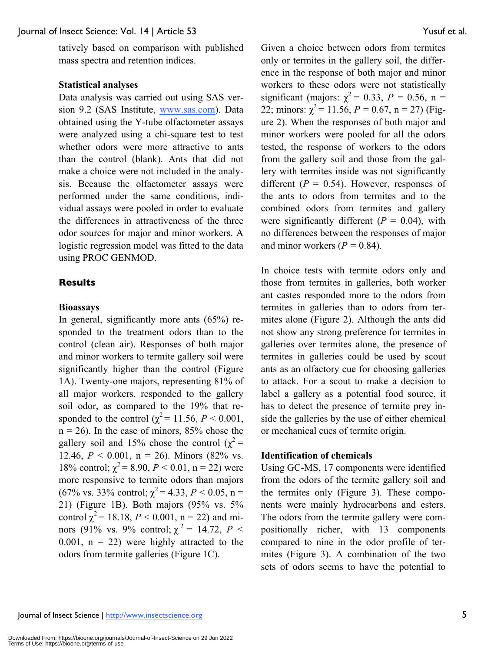tatively based on comparison with published mass spectra and retention indices.

#### **Statistical analyses**

Data analysis was carried out using SAS version 9.2 (SAS Institute, www.sas.com). Data obtained using the Y-tube olfactometer assays were analyzed using a chi-square test to test whether odors were more attractive to ants than the control (blank). Ants that did not make a choice were not included in the analysis. Because the olfactometer assays were performed under the same conditions, individual assays were pooled in order to evaluate the differences in attractiveness of the three odor sources for major and minor workers. A logistic regression model was fitted to the data using PROC GENMOD.

#### **Results**

#### **Bioassays**

In general, significantly more ants (65%) responded to the treatment odors than to the control (clean air). Responses of both major and minor workers to termite gallery soil were significantly higher than the control (Figure 1A). Twenty-one majors, representing 81% of all major workers, responded to the gallery soil odor, as compared to the 19% that responded to the control ( $\chi^2$  = 11.56, *P* < 0.001,  $n = 26$ ). In the case of minors, 85% chose the gallery soil and 15% chose the control ( $\chi^2$  = 12.46,  $P < 0.001$ , n = 26). Minors (82% vs. 18% control;  $\chi^2$  = 8.90, *P* < 0.01, n = 22) were more responsive to termite odors than majors (67% vs. 33% control;  $\chi^2$  = 4.33, *P* < 0.05, n = 21) (Figure 1B). Both majors (95% vs. 5% control  $\chi^2$  = 18.18, *P* < 0.001, n = 22) and minors (91% vs. 9% control;  $\chi^2 = 14.72$ ,  $P <$ 0.001,  $n = 22$ ) were highly attracted to the odors from termite galleries (Figure 1C).

Given a choice between odors from termites only or termites in the gallery soil, the difference in the response of both major and minor workers to these odors were not statistically significant (majors:  $\chi^2$  = 0.33, *P* = 0.56, n = 22; minors:  $\chi^2$  = 11.56, *P* = 0.67, n = 27) (Figure 2). When the responses of both major and minor workers were pooled for all the odors tested, the response of workers to the odors from the gallery soil and those from the gallery with termites inside was not significantly different  $(P = 0.54)$ . However, responses of the ants to odors from termites and to the combined odors from termites and gallery were significantly different  $(P = 0.04)$ , with no differences between the responses of major and minor workers  $(P = 0.84)$ .

In choice tests with termite odors only and those from termites in galleries, both worker ant castes responded more to the odors from termites in galleries than to odors from termites alone (Figure 2). Although the ants did not show any strong preference for termites in galleries over termites alone, the presence of termites in galleries could be used by scout ants as an olfactory cue for choosing galleries to attack. For a scout to make a decision to label a gallery as a potential food source, it has to detect the presence of termite prey inside the galleries by the use of either chemical or mechanical cues of termite origin.

#### **Identification of chemicals**

Using GC-MS, 17 components were identified from the odors of the termite gallery soil and the termites only (Figure 3). These components were mainly hydrocarbons and esters. The odors from the termite gallery were compositionally richer, with 13 components compared to nine in the odor profile of termites (Figure 3). A combination of the two sets of odors seems to have the potential to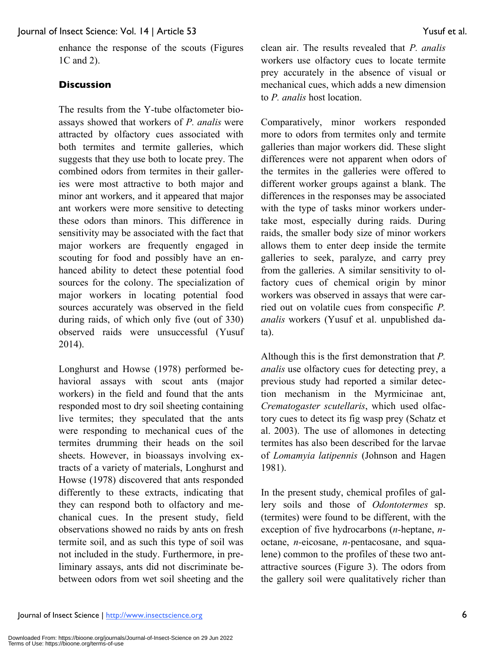enhance the response of the scouts (Figures 1C and 2).

#### **Discussion**

The results from the Y-tube olfactometer bioassays showed that workers of *P. analis* were attracted by olfactory cues associated with both termites and termite galleries, which suggests that they use both to locate prey. The combined odors from termites in their galleries were most attractive to both major and minor ant workers, and it appeared that major ant workers were more sensitive to detecting these odors than minors. This difference in sensitivity may be associated with the fact that major workers are frequently engaged in scouting for food and possibly have an enhanced ability to detect these potential food sources for the colony. The specialization of major workers in locating potential food sources accurately was observed in the field during raids, of which only five (out of 330) observed raids were unsuccessful (Yusuf 2014).

Longhurst and Howse (1978) performed behavioral assays with scout ants (major workers) in the field and found that the ants responded most to dry soil sheeting containing live termites; they speculated that the ants were responding to mechanical cues of the termites drumming their heads on the soil sheets. However, in bioassays involving extracts of a variety of materials, Longhurst and Howse (1978) discovered that ants responded differently to these extracts, indicating that they can respond both to olfactory and mechanical cues. In the present study, field observations showed no raids by ants on fresh termite soil, and as such this type of soil was not included in the study. Furthermore, in preliminary assays, ants did not discriminate bebetween odors from wet soil sheeting and the clean air. The results revealed that *P. analis*  workers use olfactory cues to locate termite prey accurately in the absence of visual or mechanical cues, which adds a new dimension to *P. analis* host location.

Comparatively, minor workers responded more to odors from termites only and termite galleries than major workers did. These slight differences were not apparent when odors of the termites in the galleries were offered to different worker groups against a blank. The differences in the responses may be associated with the type of tasks minor workers undertake most, especially during raids. During raids, the smaller body size of minor workers allows them to enter deep inside the termite galleries to seek, paralyze, and carry prey from the galleries. A similar sensitivity to olfactory cues of chemical origin by minor workers was observed in assays that were carried out on volatile cues from conspecific *P. analis* workers (Yusuf et al. unpublished data).

Although this is the first demonstration that *P. analis* use olfactory cues for detecting prey, a previous study had reported a similar detection mechanism in the Myrmicinae ant, *Crematogaster scutellaris*, which used olfactory cues to detect its fig wasp prey (Schatz et al. 2003). The use of allomones in detecting termites has also been described for the larvae of *Lomamyia latipennis* (Johnson and Hagen 1981).

In the present study, chemical profiles of gallery soils and those of *Odontotermes* sp. (termites) were found to be different, with the exception of five hydrocarbons (*n-*heptane, *n*octane, *n-*eicosane, *n-*pentacosane, and squalene) common to the profiles of these two antattractive sources (Figure 3). The odors from the gallery soil were qualitatively richer than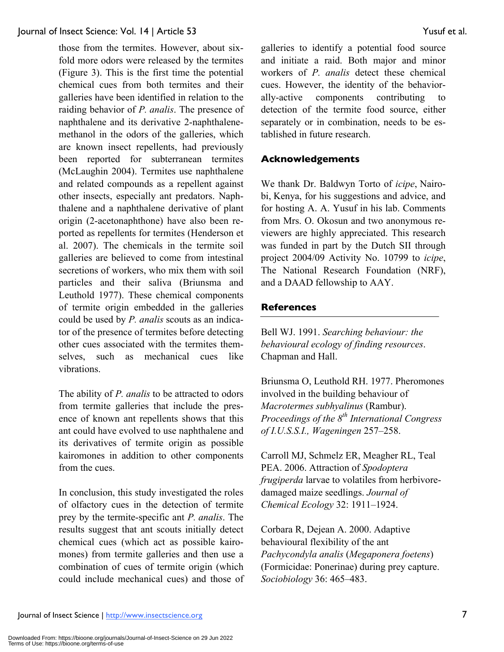those from the termites. However, about sixfold more odors were released by the termites (Figure 3). This is the first time the potential chemical cues from both termites and their galleries have been identified in relation to the raiding behavior of *P. analis*. The presence of naphthalene and its derivative 2-naphthalenemethanol in the odors of the galleries, which are known insect repellents, had previously been reported for subterranean termites (McLaughin 2004). Termites use naphthalene and related compounds as a repellent against other insects, especially ant predators. Naphthalene and a naphthalene derivative of plant origin (2-acetonaphthone) have also been reported as repellents for termites (Henderson et al. 2007). The chemicals in the termite soil galleries are believed to come from intestinal secretions of workers, who mix them with soil particles and their saliva (Briunsma and Leuthold 1977). These chemical components of termite origin embedded in the galleries could be used by *P. analis* scouts as an indicator of the presence of termites before detecting other cues associated with the termites themselves, such as mechanical cues like vibrations.

The ability of *P. analis* to be attracted to odors from termite galleries that include the presence of known ant repellents shows that this ant could have evolved to use naphthalene and its derivatives of termite origin as possible kairomones in addition to other components from the cues.

In conclusion, this study investigated the roles of olfactory cues in the detection of termite prey by the termite-specific ant *P. analis*. The results suggest that ant scouts initially detect chemical cues (which act as possible kairomones) from termite galleries and then use a combination of cues of termite origin (which could include mechanical cues) and those of

galleries to identify a potential food source and initiate a raid. Both major and minor workers of *P. analis* detect these chemical cues. However, the identity of the behaviorally-active components contributing to detection of the termite food source, either separately or in combination, needs to be established in future research.

#### **Acknowledgements**

We thank Dr. Baldwyn Torto of *icipe*, Nairobi, Kenya, for his suggestions and advice, and for hosting A. A. Yusuf in his lab. Comments from Mrs. O. Okosun and two anonymous reviewers are highly appreciated. This research was funded in part by the Dutch SII through project 2004/09 Activity No. 10799 to *icipe*, The National Research Foundation (NRF), and a DAAD fellowship to AAY.

#### **References**

Bell WJ. 1991. *Searching behaviour: the behavioural ecology of finding resources*. Chapman and Hall.

Briunsma O, Leuthold RH. 1977. Pheromones involved in the building behaviour of *Macrotermes subhyalinus* (Rambur). *Proceedings of the 8th International Congress of I.U.S.S.I., Wageningen* 257–258.

Carroll MJ, Schmelz ER, Meagher RL, Teal PEA. 2006. Attraction of *Spodoptera frugiperda* larvae to volatiles from herbivoredamaged maize seedlings. *Journal of Chemical Ecology* 32: 1911–1924.

Corbara R, Dejean A. 2000. Adaptive behavioural flexibility of the ant *Pachycondyla analis* (*Megaponera foetens*) (Formicidae: Ponerinae) during prey capture. *Sociobiology* 36: 465–483.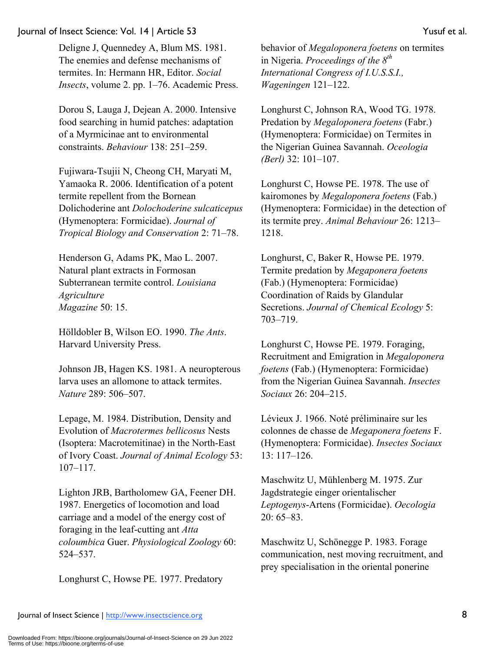Deligne J, Quennedey A, Blum MS. 1981. The enemies and defense mechanisms of termites. In: Hermann HR, Editor. *Social Insects*, volume 2. pp. 1–76. Academic Press.

Dorou S, Lauga J, Dejean A. 2000. Intensive food searching in humid patches: adaptation of a Myrmicinae ant to environmental constraints. *Behaviour* 138: 251–259.

Fujiwara-Tsujii N, Cheong CH, Maryati M, Yamaoka R. 2006. Identification of a potent termite repellent from the Bornean Dolichoderine ant *Dolochoderine sulcaticepus* (Hymenoptera: Formicidae). *Journal of Tropical Biology and Conservation* 2: 71–78.

Henderson G, Adams PK, Mao L. 2007. Natural plant extracts in Formosan Subterranean termite control. *Louisiana Agriculture Magazine* 50: 15.

Hölldobler B, Wilson EO. 1990. *The Ants*. Harvard University Press.

Johnson JB, Hagen KS. 1981. A neuropterous larva uses an allomone to attack termites. *Nature* 289: 506–507.

Lepage, M. 1984. Distribution, Density and Evolution of *Macrotermes bellicosus* Nests (Isoptera: Macrotemitinae) in the North-East of Ivory Coast. *Journal of Animal Ecology* 53: 107–117.

Lighton JRB, Bartholomew GA, Feener DH. 1987. Energetics of locomotion and load carriage and a model of the energy cost of foraging in the leaf-cutting ant *Atta coloumbica* Guer. *Physiological Zoology* 60: 524–537.

Longhurst C, Howse PE. 1977. Predatory

behavior of *Megaloponera foetens* on termites in Nigeria. *Proceedings of the 8th International Congress of I.U.S.S.I., Wageningen* 121–122.

Longhurst C, Johnson RA, Wood TG. 1978. Predation by *Megaloponera foetens* (Fabr.) (Hymenoptera: Formicidae) on Termites in the Nigerian Guinea Savannah. *Oceologia (Berl)* 32: 101–107.

Longhurst C, Howse PE. 1978. The use of kairomones by *Megaloponera foetens* (Fab.) (Hymenoptera: Formicidae) in the detection of its termite prey. *Animal Behaviour* 26: 1213– 1218.

Longhurst, C, Baker R, Howse PE. 1979. Termite predation by *Megaponera foetens*  (Fab.) (Hymenoptera: Formicidae) Coordination of Raids by Glandular Secretions. *Journal of Chemical Ecology* 5: 703–719.

Longhurst C, Howse PE. 1979. Foraging, Recruitment and Emigration in *Megaloponera foetens* (Fab.) (Hymenoptera: Formicidae) from the Nigerian Guinea Savannah. *Insectes Sociaux* 26: 204–215.

Lévieux J. 1966. Noté préliminaire sur les colonnes de chasse de *Megaponera foetens* F. (Hymenoptera: Formicidae). *Insectes Sociaux* 13: 117–126.

Maschwitz U, Mühlenberg M. 1975. Zur Jagdstrategie einger orientalischer *Leptogenys*-Artens (Formicidae). *Oecologia* 20: 65–83.

Maschwitz U, Schönegge P. 1983. Forage communication, nest moving recruitment, and prey specialisation in the oriental ponerine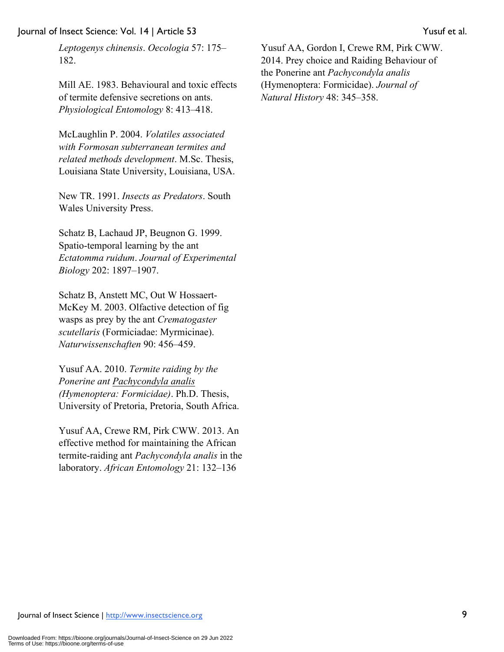*Leptogenys chinensis*. *Oecologia* 57: 175– 182.

Mill AE. 1983. Behavioural and toxic effects of termite defensive secretions on ants. *Physiological Entomology* 8: 413–418.

McLaughlin P. 2004. *Volatiles associated with Formosan subterranean termites and related methods development*. M.Sc. Thesis, Louisiana State University, Louisiana, USA.

New TR. 1991. *Insects as Predators*. South Wales University Press.

Schatz B, Lachaud JP, Beugnon G. 1999. Spatio-temporal learning by the ant *Ectatomma ruidum*. *Journal of Experimental Biology* 202: 1897–1907.

Schatz B, Anstett MC, Out W Hossaert-McKey M. 2003. Olfactive detection of fig wasps as prey by the ant *Crematogaster scutellaris* (Formiciadae: Myrmicinae). *Naturwissenschaften* 90: 456–459.

Yusuf AA. 2010. *Termite raiding by the Ponerine ant Pachycondyla analis (Hymenoptera: Formicidae)*. Ph.D. Thesis, University of Pretoria, Pretoria, South Africa.

Yusuf AA, Crewe RM, Pirk CWW. 2013. An effective method for maintaining the African termite-raiding ant *Pachycondyla analis* in the laboratory. *African Entomology* 21: 132–136

Yusuf AA, Gordon I, Crewe RM, Pirk CWW. 2014. Prey choice and Raiding Behaviour of the Ponerine ant *Pachycondyla analis* (Hymenoptera: Formicidae). *Journal of Natural History* 48: 345–358.